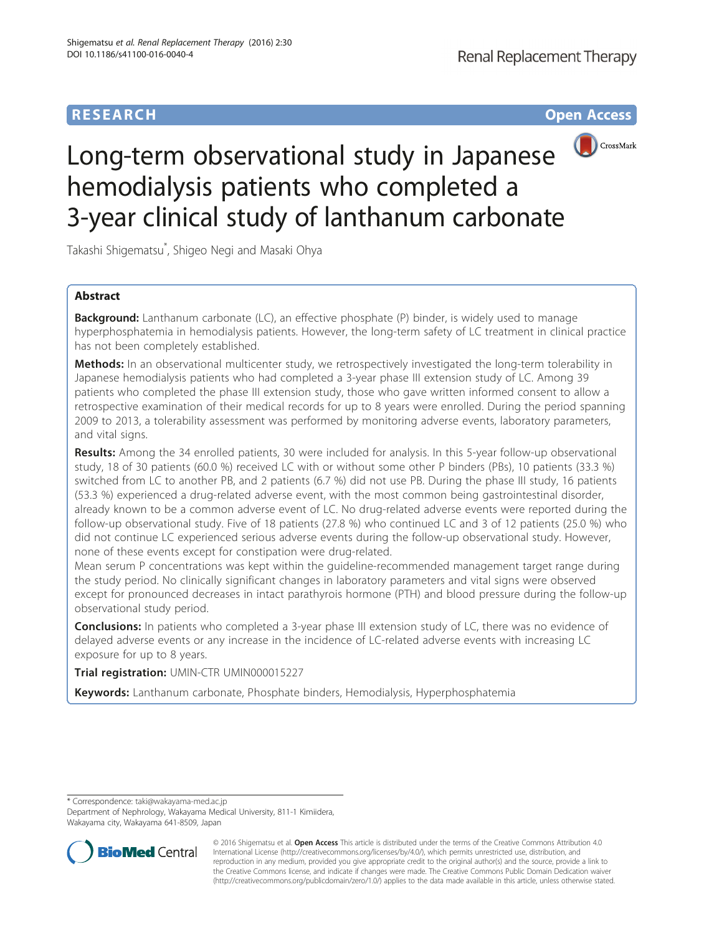

# Long-term observational study in Japanese hemodialysis patients who completed a 3-year clinical study of lanthanum carbonate

Takashi Shigematsu<sup>\*</sup>, Shigeo Negi and Masaki Ohya

# Abstract

Background: Lanthanum carbonate (LC), an effective phosphate (P) binder, is widely used to manage hyperphosphatemia in hemodialysis patients. However, the long-term safety of LC treatment in clinical practice has not been completely established.

Methods: In an observational multicenter study, we retrospectively investigated the long-term tolerability in Japanese hemodialysis patients who had completed a 3-year phase III extension study of LC. Among 39 patients who completed the phase III extension study, those who gave written informed consent to allow a retrospective examination of their medical records for up to 8 years were enrolled. During the period spanning 2009 to 2013, a tolerability assessment was performed by monitoring adverse events, laboratory parameters, and vital signs.

Results: Among the 34 enrolled patients, 30 were included for analysis. In this 5-year follow-up observational study, 18 of 30 patients (60.0 %) received LC with or without some other P binders (PBs), 10 patients (33.3 %) switched from LC to another PB, and 2 patients (6.7 %) did not use PB. During the phase III study, 16 patients (53.3 %) experienced a drug-related adverse event, with the most common being gastrointestinal disorder, already known to be a common adverse event of LC. No drug-related adverse events were reported during the follow-up observational study. Five of 18 patients (27.8 %) who continued LC and 3 of 12 patients (25.0 %) who did not continue LC experienced serious adverse events during the follow-up observational study. However, none of these events except for constipation were drug-related.

Mean serum P concentrations was kept within the guideline-recommended management target range during the study period. No clinically significant changes in laboratory parameters and vital signs were observed except for pronounced decreases in intact parathyrois hormone (PTH) and blood pressure during the follow-up observational study period.

**Conclusions:** In patients who completed a 3-year phase III extension study of LC, there was no evidence of delayed adverse events or any increase in the incidence of LC-related adverse events with increasing LC exposure for up to 8 years.

Trial registration: UMIN-CTR [UMIN000015227](https://upload.umin.ac.jp/cgi-open-bin/ctr/ctr.cgi?function=history&action=list&type=summary&recptno=R000017704&language=E)

Keywords: Lanthanum carbonate, Phosphate binders, Hemodialysis, Hyperphosphatemia

\* Correspondence: [taki@wakayama-med.ac.jp](mailto:taki@wakayama-med.ac.jp)

Department of Nephrology, Wakayama Medical University, 811-1 Kimiidera, Wakayama city, Wakayama 641-8509, Japan



© 2016 Shigematsu et al. Open Access This article is distributed under the terms of the Creative Commons Attribution 4.0 International License [\(http://creativecommons.org/licenses/by/4.0/](http://creativecommons.org/licenses/by/4.0/)), which permits unrestricted use, distribution, and reproduction in any medium, provided you give appropriate credit to the original author(s) and the source, provide a link to the Creative Commons license, and indicate if changes were made. The Creative Commons Public Domain Dedication waiver [\(http://creativecommons.org/publicdomain/zero/1.0/](http://creativecommons.org/publicdomain/zero/1.0/)) applies to the data made available in this article, unless otherwise stated.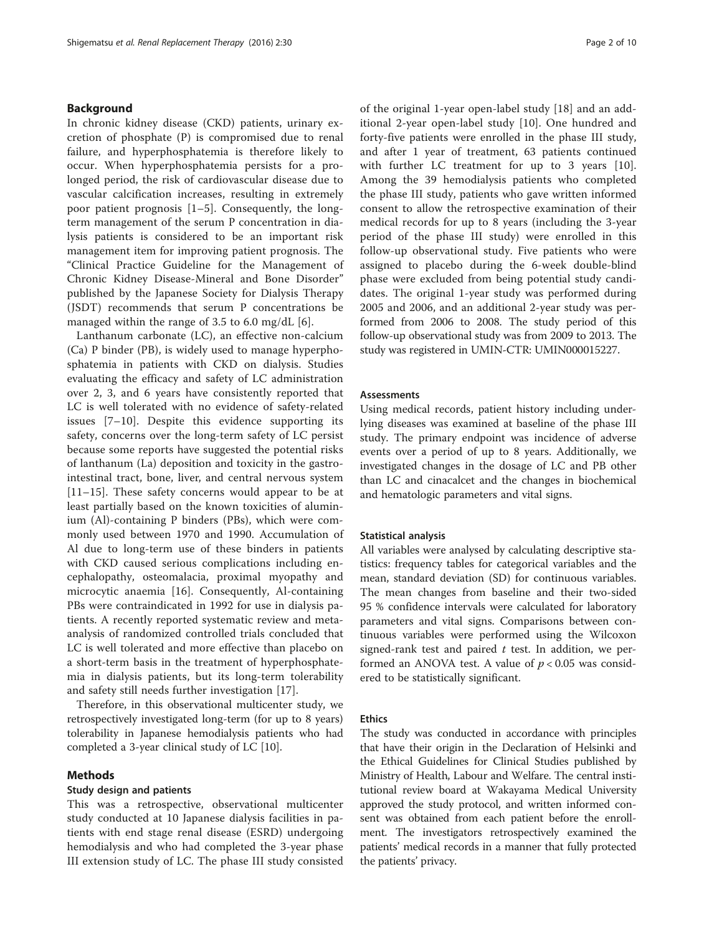## Background

In chronic kidney disease (CKD) patients, urinary excretion of phosphate (P) is compromised due to renal failure, and hyperphosphatemia is therefore likely to occur. When hyperphosphatemia persists for a prolonged period, the risk of cardiovascular disease due to vascular calcification increases, resulting in extremely poor patient prognosis [[1](#page-8-0)–[5\]](#page-8-0). Consequently, the longterm management of the serum P concentration in dialysis patients is considered to be an important risk management item for improving patient prognosis. The "Clinical Practice Guideline for the Management of Chronic Kidney Disease-Mineral and Bone Disorder" published by the Japanese Society for Dialysis Therapy (JSDT) recommends that serum P concentrations be managed within the range of 3.5 to 6.0 mg/dL [\[6](#page-8-0)].

Lanthanum carbonate (LC), an effective non-calcium (Ca) P binder (PB), is widely used to manage hyperphosphatemia in patients with CKD on dialysis. Studies evaluating the efficacy and safety of LC administration over 2, 3, and 6 years have consistently reported that LC is well tolerated with no evidence of safety-related issues [\[7](#page-8-0)–[10](#page-9-0)]. Despite this evidence supporting its safety, concerns over the long-term safety of LC persist because some reports have suggested the potential risks of lanthanum (La) deposition and toxicity in the gastrointestinal tract, bone, liver, and central nervous system [[11](#page-9-0)–[15\]](#page-9-0). These safety concerns would appear to be at least partially based on the known toxicities of aluminium (Al)-containing P binders (PBs), which were commonly used between 1970 and 1990. Accumulation of Al due to long-term use of these binders in patients with CKD caused serious complications including encephalopathy, osteomalacia, proximal myopathy and microcytic anaemia [\[16](#page-9-0)]. Consequently, Al-containing PBs were contraindicated in 1992 for use in dialysis patients. A recently reported systematic review and metaanalysis of randomized controlled trials concluded that LC is well tolerated and more effective than placebo on a short-term basis in the treatment of hyperphosphatemia in dialysis patients, but its long-term tolerability and safety still needs further investigation [[17](#page-9-0)].

Therefore, in this observational multicenter study, we retrospectively investigated long-term (for up to 8 years) tolerability in Japanese hemodialysis patients who had completed a 3-year clinical study of LC [[10\]](#page-9-0).

## Methods

## Study design and patients

This was a retrospective, observational multicenter study conducted at 10 Japanese dialysis facilities in patients with end stage renal disease (ESRD) undergoing hemodialysis and who had completed the 3-year phase III extension study of LC. The phase III study consisted of the original 1-year open-label study [[18\]](#page-9-0) and an additional 2-year open-label study [[10\]](#page-9-0). One hundred and forty-five patients were enrolled in the phase III study, and after 1 year of treatment, 63 patients continued with further LC treatment for up to 3 years [\[10](#page-9-0)]. Among the 39 hemodialysis patients who completed the phase III study, patients who gave written informed consent to allow the retrospective examination of their medical records for up to 8 years (including the 3-year period of the phase III study) were enrolled in this follow-up observational study. Five patients who were assigned to placebo during the 6-week double-blind phase were excluded from being potential study candidates. The original 1-year study was performed during 2005 and 2006, and an additional 2-year study was performed from 2006 to 2008. The study period of this follow-up observational study was from 2009 to 2013. The study was registered in UMIN-CTR: UMIN000015227.

#### Assessments

Using medical records, patient history including underlying diseases was examined at baseline of the phase III study. The primary endpoint was incidence of adverse events over a period of up to 8 years. Additionally, we investigated changes in the dosage of LC and PB other than LC and cinacalcet and the changes in biochemical and hematologic parameters and vital signs.

#### Statistical analysis

All variables were analysed by calculating descriptive statistics: frequency tables for categorical variables and the mean, standard deviation (SD) for continuous variables. The mean changes from baseline and their two-sided 95 % confidence intervals were calculated for laboratory parameters and vital signs. Comparisons between continuous variables were performed using the Wilcoxon signed-rank test and paired  $t$  test. In addition, we performed an ANOVA test. A value of  $p < 0.05$  was considered to be statistically significant.

#### Ethics

The study was conducted in accordance with principles that have their origin in the Declaration of Helsinki and the Ethical Guidelines for Clinical Studies published by Ministry of Health, Labour and Welfare. The central institutional review board at Wakayama Medical University approved the study protocol, and written informed consent was obtained from each patient before the enrollment. The investigators retrospectively examined the patients' medical records in a manner that fully protected the patients' privacy.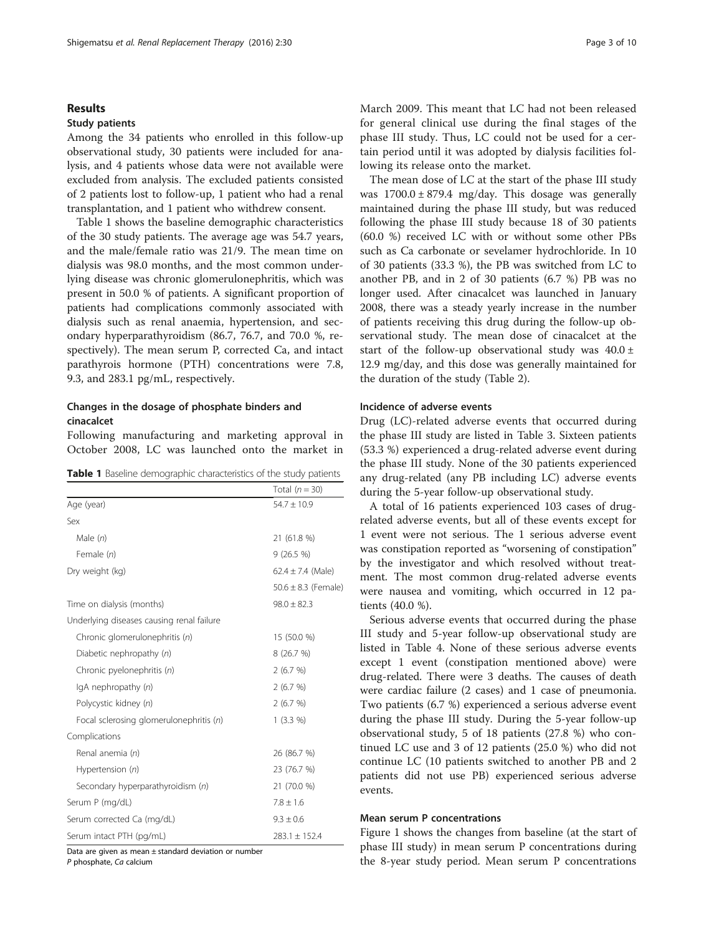## Results

#### Study patients

Among the 34 patients who enrolled in this follow-up observational study, 30 patients were included for analysis, and 4 patients whose data were not available were excluded from analysis. The excluded patients consisted of 2 patients lost to follow-up, 1 patient who had a renal transplantation, and 1 patient who withdrew consent.

Table 1 shows the baseline demographic characteristics of the 30 study patients. The average age was 54.7 years, and the male/female ratio was 21/9. The mean time on dialysis was 98.0 months, and the most common underlying disease was chronic glomerulonephritis, which was present in 50.0 % of patients. A significant proportion of patients had complications commonly associated with dialysis such as renal anaemia, hypertension, and secondary hyperparathyroidism (86.7, 76.7, and 70.0 %, respectively). The mean serum P, corrected Ca, and intact parathyrois hormone (PTH) concentrations were 7.8, 9.3, and 283.1 pg/mL, respectively.

# Changes in the dosage of phosphate binders and cinacalcet

Following manufacturing and marketing approval in October 2008, LC was launched onto the market in

|  |  |  | Table 1 Baseline demographic characteristics of the study patients |  |  |  |
|--|--|--|--------------------------------------------------------------------|--|--|--|
|--|--|--|--------------------------------------------------------------------|--|--|--|

|                                           | Total $(n = 30)$        |
|-------------------------------------------|-------------------------|
| Age (year)                                | $54.7 \pm 10.9$         |
| Sex                                       |                         |
| Male $(n)$                                | 21 (61.8 %)             |
| Female $(n)$                              | $9(26.5\%)$             |
| Dry weight (kg)                           | $62.4 \pm 7.4$ (Male)   |
|                                           | $50.6 \pm 8.3$ (Female) |
| Time on dialysis (months)                 | $98.0 \pm 82.3$         |
| Underlying diseases causing renal failure |                         |
| Chronic glomerulonephritis (n)            | 15 (50.0 %)             |
| Diabetic nephropathy (n)                  | 8 (26.7 %)              |
| Chronic pyelonephritis (n)                | 2(6.7%)                 |
| IgA nephropathy (n)                       | 2(6.7%)                 |
| Polycystic kidney (n)                     | 2(6.7%)                 |
| Focal sclerosing glomerulonephritis (n)   | $1(3.3\%)$              |
| Complications                             |                         |
| Renal anemia (n)                          | 26 (86.7 %)             |
| Hypertension (n)                          | 23 (76.7 %)             |
| Secondary hyperparathyroidism (n)         | 21 (70.0 %)             |
| Serum P (mg/dL)                           | $7.8 \pm 1.6$           |
| Serum corrected Ca (mg/dL)                | $9.3 \pm 0.6$           |
| Serum intact PTH (pg/mL)                  | $283.1 \pm 152.4$       |

Data are given as mean ± standard deviation or number

P phosphate, Ca calcium

March 2009. This meant that LC had not been released for general clinical use during the final stages of the phase III study. Thus, LC could not be used for a certain period until it was adopted by dialysis facilities following its release onto the market.

The mean dose of LC at the start of the phase III study was  $1700.0 \pm 879.4$  mg/day. This dosage was generally maintained during the phase III study, but was reduced following the phase III study because 18 of 30 patients (60.0 %) received LC with or without some other PBs such as Ca carbonate or sevelamer hydrochloride. In 10 of 30 patients (33.3 %), the PB was switched from LC to another PB, and in 2 of 30 patients (6.7 %) PB was no longer used. After cinacalcet was launched in January 2008, there was a steady yearly increase in the number of patients receiving this drug during the follow-up observational study. The mean dose of cinacalcet at the start of the follow-up observational study was  $40.0 \pm$ 12.9 mg/day, and this dose was generally maintained for the duration of the study (Table [2](#page-3-0)).

## Incidence of adverse events

Drug (LC)-related adverse events that occurred during the phase III study are listed in Table [3.](#page-4-0) Sixteen patients (53.3 %) experienced a drug-related adverse event during the phase III study. None of the 30 patients experienced any drug-related (any PB including LC) adverse events during the 5-year follow-up observational study.

A total of 16 patients experienced 103 cases of drugrelated adverse events, but all of these events except for 1 event were not serious. The 1 serious adverse event was constipation reported as "worsening of constipation" by the investigator and which resolved without treatment. The most common drug-related adverse events were nausea and vomiting, which occurred in 12 patients (40.0 %).

Serious adverse events that occurred during the phase III study and 5-year follow-up observational study are listed in Table [4](#page-5-0). None of these serious adverse events except 1 event (constipation mentioned above) were drug-related. There were 3 deaths. The causes of death were cardiac failure (2 cases) and 1 case of pneumonia. Two patients (6.7 %) experienced a serious adverse event during the phase III study. During the 5-year follow-up observational study, 5 of 18 patients (27.8 %) who continued LC use and 3 of 12 patients (25.0 %) who did not continue LC (10 patients switched to another PB and 2 patients did not use PB) experienced serious adverse events.

## Mean serum P concentrations

Figure [1](#page-5-0) shows the changes from baseline (at the start of phase III study) in mean serum P concentrations during the 8-year study period. Mean serum P concentrations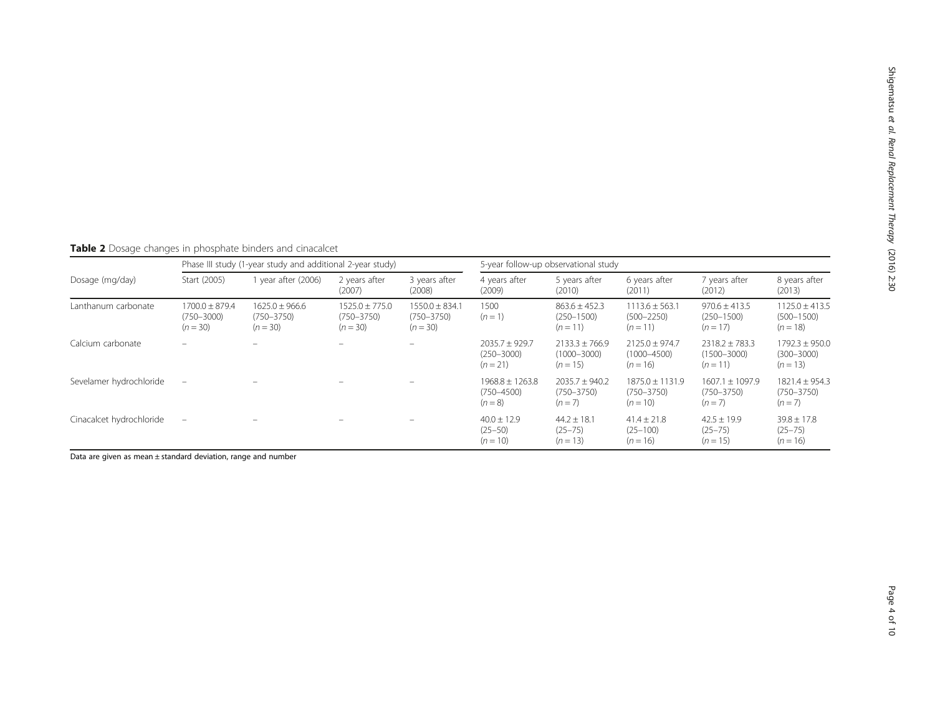<span id="page-3-0"></span>Table 2 Dosage changes in phosphate binders and cinacalcet

|                          |                                                    | Phase III study (1-year study and additional 2-year study) |                                                    |                                                    | 5-year follow-up observational study               |                                                     |                                                     |                                                     |                                                    |
|--------------------------|----------------------------------------------------|------------------------------------------------------------|----------------------------------------------------|----------------------------------------------------|----------------------------------------------------|-----------------------------------------------------|-----------------------------------------------------|-----------------------------------------------------|----------------------------------------------------|
| Dosage (mg/day)          | Start (2005)                                       | year after (2006)                                          | 2 years after<br>(2007)                            | 3 years after<br>(2008)                            | 4 years after<br>(2009)                            | 5 years after<br>(2010)                             | 6 years after<br>(2011)                             | 7 years after<br>(2012)                             | 8 years after<br>(2013)                            |
| Lanthanum carbonate      | $1700.0 \pm 879.4$<br>$(750 - 3000)$<br>$(n = 30)$ | $1625.0 \pm 966.6$<br>$(750 - 3750)$<br>$(n = 30)$         | $1525.0 \pm 775.0$<br>$(750 - 3750)$<br>$(n = 30)$ | $1550.0 \pm 834.1$<br>$(750 - 3750)$<br>$(n = 30)$ | 1500<br>$(n=1)$                                    | $863.6 \pm 452.3$<br>$(250 - 1500)$<br>$(n=11)$     | $1113.6 \pm 563.1$<br>$(500 - 2250)$<br>$(n=11)$    | $970.6 \pm 413.5$<br>$(250 - 1500)$<br>$(n = 17)$   | $1125.0 \pm 413.5$<br>$(500 - 1500)$<br>$(n=18)$   |
| Calcium carbonate        | $\qquad \qquad -$                                  |                                                            |                                                    |                                                    | $2035.7 \pm 929.7$<br>$(250 - 3000)$<br>$(n=21)$   | $2133.3 \pm 766.9$<br>$(1000 - 3000)$<br>$(n = 15)$ | $2125.0 \pm 974.7$<br>$(1000 - 4500)$<br>$(n = 16)$ | $2318.2 \pm 783.3$<br>$(1500 - 3000)$<br>$(n = 11)$ | $1792.3 \pm 950.0$<br>$(300 - 3000)$<br>$(n = 13)$ |
| Sevelamer hydrochloride  | $\overline{\phantom{m}}$                           |                                                            |                                                    |                                                    | $1968.8 \pm 1263.8$<br>$(750 - 4500)$<br>$(n = 8)$ | $2035.7 + 940.2$<br>$(750 - 3750)$<br>$(n=7)$       | $1875.0 + 1131.9$<br>$(750 - 3750)$<br>$(n = 10)$   | $1607.1 \pm 1097.9$<br>$(750 - 3750)$<br>$(n=7)$    | $1821.4 + 954.3$<br>$(750 - 3750)$<br>$(n=7)$      |
| Cinacalcet hydrochloride | $\overline{\phantom{m}}$                           |                                                            |                                                    |                                                    | $40.0 \pm 12.9$<br>$(25 - 50)$<br>$(n = 10)$       | $44.2 \pm 18.1$<br>$(25 - 75)$<br>$(n = 13)$        | $41.4 \pm 21.8$<br>$(25 - 100)$<br>$(n = 16)$       | $42.5 \pm 19.9$<br>$(25 - 75)$<br>$(n = 15)$        | $39.8 \pm 17.8$<br>$(25 - 75)$<br>$(n = 16)$       |

Data are given as mean ± standard deviation, range and number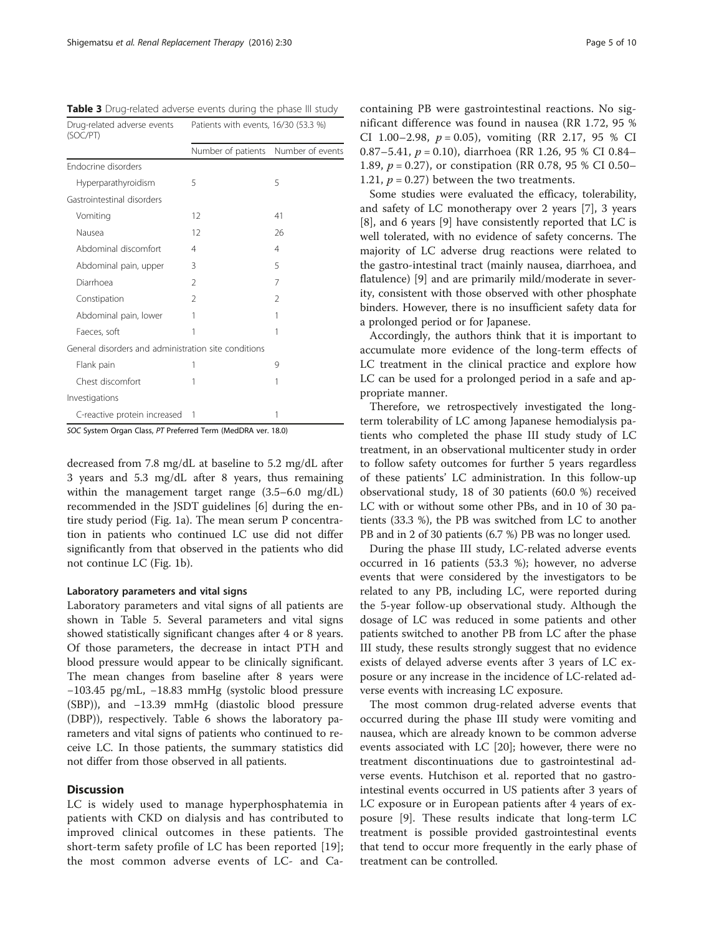| Drug-related adverse events<br>(SOC/PT)              | Patients with events, 16/30 (53.3 %) |                |  |  |  |
|------------------------------------------------------|--------------------------------------|----------------|--|--|--|
|                                                      | Number of patients Number of events  |                |  |  |  |
| Endocrine disorders                                  |                                      |                |  |  |  |
| Hyperparathyroidism                                  | 5                                    | 5              |  |  |  |
| Gastrointestinal disorders                           |                                      |                |  |  |  |
| Vomiting                                             | 12                                   | 41             |  |  |  |
| Nausea                                               | 12                                   | 26             |  |  |  |
| Abdominal discomfort                                 | 4                                    | $\overline{4}$ |  |  |  |
| Abdominal pain, upper                                | 3                                    | 5              |  |  |  |
| Diarrhoea                                            | 2                                    | 7              |  |  |  |
| Constipation                                         | $\mathfrak{D}$                       | $\mathfrak{D}$ |  |  |  |
| Abdominal pain, lower                                | 1                                    | 1              |  |  |  |
| Faeces, soft                                         | 1                                    | 1              |  |  |  |
| General disorders and administration site conditions |                                      |                |  |  |  |
| Flank pain                                           | 1                                    | 9              |  |  |  |
| Chest discomfort                                     | 1                                    | 1              |  |  |  |
| Investigations                                       |                                      |                |  |  |  |
| C-reactive protein increased 1                       |                                      | 1              |  |  |  |

<span id="page-4-0"></span>Table 3 Drug-related adverse events during the phase III study

SOC System Organ Class, PT Preferred Term (MedDRA ver. 18.0)

decreased from 7.8 mg/dL at baseline to 5.2 mg/dL after 3 years and 5.3 mg/dL after 8 years, thus remaining within the management target range  $(3.5-6.0 \text{ mg/dL})$ recommended in the JSDT guidelines [[6\]](#page-8-0) during the entire study period (Fig. [1a](#page-5-0)). The mean serum P concentration in patients who continued LC use did not differ significantly from that observed in the patients who did not continue LC (Fig. [1b\)](#page-5-0).

## Laboratory parameters and vital signs

Laboratory parameters and vital signs of all patients are shown in Table [5](#page-6-0). Several parameters and vital signs showed statistically significant changes after 4 or 8 years. Of those parameters, the decrease in intact PTH and blood pressure would appear to be clinically significant. The mean changes from baseline after 8 years were −103.45 pg/mL, −18.83 mmHg (systolic blood pressure (SBP)), and −13.39 mmHg (diastolic blood pressure (DBP)), respectively. Table [6](#page-7-0) shows the laboratory parameters and vital signs of patients who continued to receive LC. In those patients, the summary statistics did not differ from those observed in all patients.

# Discussion

LC is widely used to manage hyperphosphatemia in patients with CKD on dialysis and has contributed to improved clinical outcomes in these patients. The short-term safety profile of LC has been reported [[19](#page-9-0)]; the most common adverse events of LC- and Cacontaining PB were gastrointestinal reactions. No significant difference was found in nausea (RR 1.72, 95 % CI 1.00–2.98,  $p = 0.05$ ), vomiting (RR 2.17, 95 % CI 0.87–5.41,  $p = 0.10$ ), diarrhoea (RR 1.26, 95 % CI 0.84– 1.89,  $p = 0.27$ , or constipation (RR 0.78, 95 % CI 0.50– 1.21,  $p = 0.27$ ) between the two treatments.

Some studies were evaluated the efficacy, tolerability, and safety of LC monotherapy over 2 years [[7\]](#page-8-0), 3 years [[8\]](#page-9-0), and 6 years [[9\]](#page-9-0) have consistently reported that LC is well tolerated, with no evidence of safety concerns. The majority of LC adverse drug reactions were related to the gastro-intestinal tract (mainly nausea, diarrhoea, and flatulence) [[9\]](#page-9-0) and are primarily mild/moderate in severity, consistent with those observed with other phosphate binders. However, there is no insufficient safety data for a prolonged period or for Japanese.

Accordingly, the authors think that it is important to accumulate more evidence of the long-term effects of LC treatment in the clinical practice and explore how LC can be used for a prolonged period in a safe and appropriate manner.

Therefore, we retrospectively investigated the longterm tolerability of LC among Japanese hemodialysis patients who completed the phase III study study of LC treatment, in an observational multicenter study in order to follow safety outcomes for further 5 years regardless of these patients' LC administration. In this follow-up observational study, 18 of 30 patients (60.0 %) received LC with or without some other PBs, and in 10 of 30 patients (33.3 %), the PB was switched from LC to another PB and in 2 of 30 patients (6.7 %) PB was no longer used.

During the phase III study, LC-related adverse events occurred in 16 patients (53.3 %); however, no adverse events that were considered by the investigators to be related to any PB, including LC, were reported during the 5-year follow-up observational study. Although the dosage of LC was reduced in some patients and other patients switched to another PB from LC after the phase III study, these results strongly suggest that no evidence exists of delayed adverse events after 3 years of LC exposure or any increase in the incidence of LC-related adverse events with increasing LC exposure.

The most common drug-related adverse events that occurred during the phase III study were vomiting and nausea, which are already known to be common adverse events associated with LC [[20\]](#page-9-0); however, there were no treatment discontinuations due to gastrointestinal adverse events. Hutchison et al. reported that no gastrointestinal events occurred in US patients after 3 years of LC exposure or in European patients after 4 years of exposure [\[9](#page-9-0)]. These results indicate that long-term LC treatment is possible provided gastrointestinal events that tend to occur more frequently in the early phase of treatment can be controlled.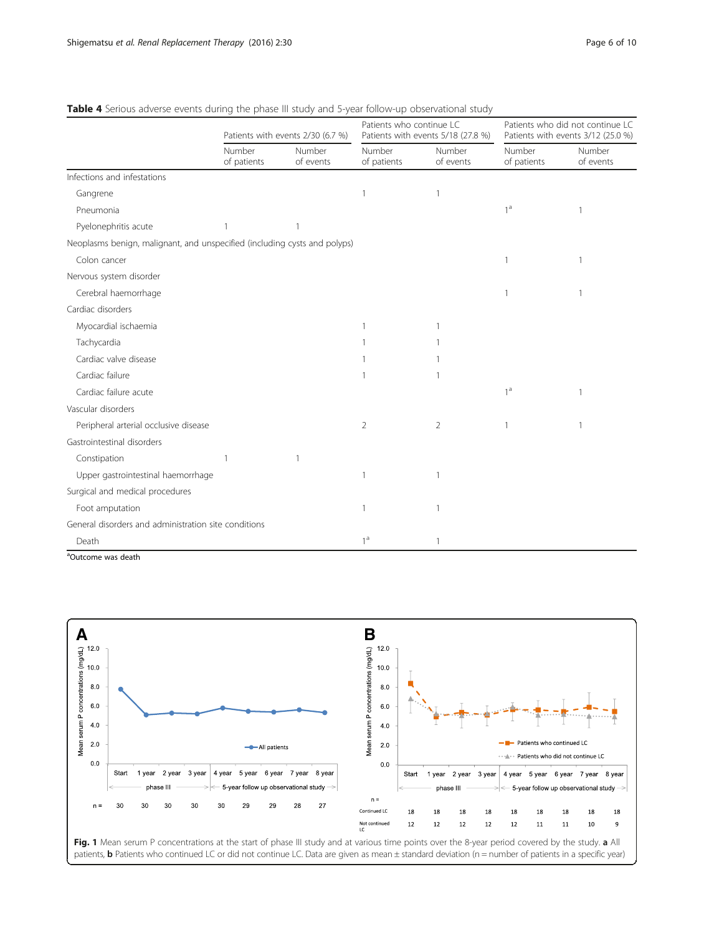|                                                                           | Patients with events 2/30 (6.7 %) |                     | Patients who continue LC | Patients with events 5/18 (27.8 %) | Patients who did not continue LC<br>Patients with events 3/12 (25.0 %) |                     |
|---------------------------------------------------------------------------|-----------------------------------|---------------------|--------------------------|------------------------------------|------------------------------------------------------------------------|---------------------|
|                                                                           | Number<br>of patients             | Number<br>of events | Number<br>of patients    | Number<br>of events                | Number<br>of patients                                                  | Number<br>of events |
| Infections and infestations                                               |                                   |                     |                          |                                    |                                                                        |                     |
| Gangrene                                                                  |                                   |                     | 1                        |                                    |                                                                        |                     |
| Pneumonia                                                                 |                                   |                     |                          |                                    | 1 <sup>a</sup>                                                         | 1                   |
| Pyelonephritis acute                                                      |                                   |                     |                          |                                    |                                                                        |                     |
| Neoplasms benign, malignant, and unspecified (including cysts and polyps) |                                   |                     |                          |                                    |                                                                        |                     |
| Colon cancer                                                              |                                   |                     |                          |                                    | 1                                                                      | 1                   |
| Nervous system disorder                                                   |                                   |                     |                          |                                    |                                                                        |                     |
| Cerebral haemorrhage                                                      |                                   |                     |                          |                                    | $\mathbf{1}$                                                           | 1                   |
| Cardiac disorders                                                         |                                   |                     |                          |                                    |                                                                        |                     |
| Myocardial ischaemia                                                      |                                   |                     | $\mathbf{1}$             | $\mathbf{1}$                       |                                                                        |                     |
| Tachycardia                                                               |                                   |                     | $\mathbf{1}$             |                                    |                                                                        |                     |
| Cardiac valve disease                                                     |                                   |                     | 1                        |                                    |                                                                        |                     |
| Cardiac failure                                                           |                                   |                     | 1                        |                                    |                                                                        |                     |
| Cardiac failure acute                                                     |                                   |                     |                          |                                    | 1 <sup>a</sup>                                                         | 1                   |
| Vascular disorders                                                        |                                   |                     |                          |                                    |                                                                        |                     |
| Peripheral arterial occlusive disease                                     |                                   |                     | $\overline{2}$           | $\overline{2}$                     | $\mathbf{1}$                                                           | $\mathbf{1}$        |
| Gastrointestinal disorders                                                |                                   |                     |                          |                                    |                                                                        |                     |
| Constipation                                                              | 1                                 |                     |                          |                                    |                                                                        |                     |
| Upper gastrointestinal haemorrhage                                        |                                   |                     | 1                        | 1                                  |                                                                        |                     |
| Surgical and medical procedures                                           |                                   |                     |                          |                                    |                                                                        |                     |
| Foot amputation                                                           |                                   |                     | 1                        |                                    |                                                                        |                     |
| General disorders and administration site conditions                      |                                   |                     |                          |                                    |                                                                        |                     |
| Death                                                                     |                                   |                     | 1 <sup>a</sup>           | $\mathbf{1}$                       |                                                                        |                     |

<span id="page-5-0"></span>Table 4 Serious adverse events during the phase III study and 5-year follow-up observational study

<sup>a</sup>Outcome was death

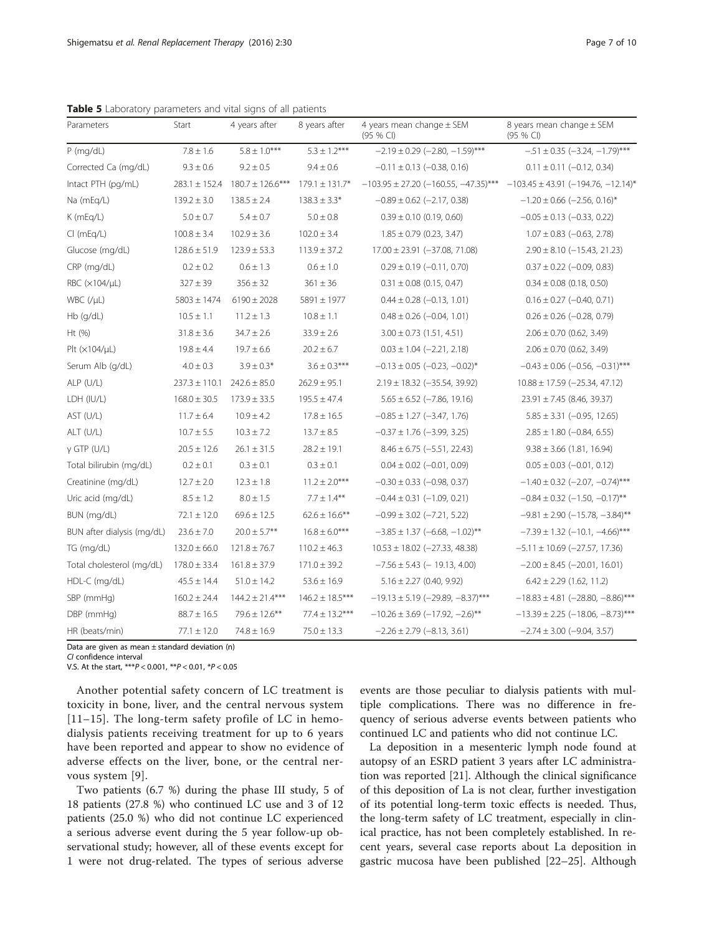<span id="page-6-0"></span>Table 5 Laboratory parameters and vital signs of all patients

| Parameters                 | Start             | 4 years after       | 8 years after       | 4 years mean change $\pm$ SEM<br>$(95%$ CI) | 8 years mean change ± SEM<br>(95 % CI) |
|----------------------------|-------------------|---------------------|---------------------|---------------------------------------------|----------------------------------------|
| $P$ (mg/dL)                | $7.8 \pm 1.6$     | $5.8 \pm 1.0***$    | $5.3 \pm 1.2***$    | $-2.19 \pm 0.29$ (-2.80, -1.59)***          | $-.51 \pm 0.35 (-3.24, -1.79)$ ***     |
| Corrected Ca (mg/dL)       | $9.3 \pm 0.6$     | $9.2 \pm 0.5$       | $9.4 \pm 0.6$       | $-0.11 \pm 0.13$ (-0.38, 0.16)              | $0.11 \pm 0.11$ (-0.12, 0.34)          |
| Intact PTH (pg/mL)         | $283.1 \pm 152.4$ | 180.7 ± 126.6***    | $179.1 \pm 131.7*$  | $-103.95 \pm 27.20$ (-160.55, -47.35)***    | $-103.45 \pm 43.91$ (-194.76, -12.14)* |
| Na (mEq/L)                 | $139.2 \pm 3.0$   | $138.5 \pm 2.4$     | $138.3 \pm 3.3*$    | $-0.89 \pm 0.62$ (-2.17, 0.38)              | $-1.20 \pm 0.66$ (-2.56, 0.16)*        |
| K (mEq/L)                  | $5.0 \pm 0.7$     | $5.4 \pm 0.7$       | $5.0 \pm 0.8$       | $0.39 \pm 0.10$ (0.19, 0.60)                | $-0.05 \pm 0.13$ (-0.33, 0.22)         |
| $Cl$ (mEq/L)               | $100.8 \pm 3.4$   | $102.9 \pm 3.6$     | $102.0 \pm 3.4$     | $1.85 \pm 0.79$ (0.23, 3.47)                | $1.07 \pm 0.83$ (-0.63, 2.78)          |
| Glucose (mg/dL)            | $128.6 \pm 51.9$  | $123.9 \pm 53.3$    | $113.9 \pm 37.2$    | $17.00 \pm 23.91 (-37.08, 71.08)$           | $2.90 \pm 8.10 (-15.43, 21.23)$        |
| CRP (mg/dL)                | $0.2 \pm 0.2$     | $0.6 \pm 1.3$       | $0.6 \pm 1.0$       | $0.29 \pm 0.19 (-0.11, 0.70)$               | $0.37 \pm 0.22$ (-0.09, 0.83)          |
| RBC (×104/µL)              | $327 \pm 39$      | $356 \pm 32$        | $361 \pm 36$        | $0.31 \pm 0.08$ (0.15, 0.47)                | $0.34 \pm 0.08$ (0.18, 0.50)           |
| $WBC$ (/ $\mu L$ )         | $5803 \pm 1474$   | $6190 \pm 2028$     | $5891 \pm 1977$     | $0.44 \pm 0.28$ (-0.13, 1.01)               | $0.16 \pm 0.27$ (-0.40, 0.71)          |
| Hb (g/dL)                  | $10.5 \pm 1.1$    | $11.2 \pm 1.3$      | $10.8 \pm 1.1$      | $0.48 \pm 0.26$ (-0.04, 1.01)               | $0.26 \pm 0.26$ (-0.28, 0.79)          |
| Ht (%)                     | $31.8 \pm 3.6$    | $34.7 \pm 2.6$      | $33.9 \pm 2.6$      | $3.00 \pm 0.73$ (1.51, 4.51)                | $2.06 \pm 0.70$ (0.62, 3.49)           |
| Plt (x104/µL)              | $19.8 \pm 4.4$    | $19.7 \pm 6.6$      | $20.2 \pm 6.7$      | $0.03 \pm 1.04 (-2.21, 2.18)$               | $2.06 \pm 0.70$ (0.62, 3.49)           |
| Serum Alb (g/dL)           | $4.0 \pm 0.3$     | $3.9 \pm 0.3*$      | $3.6 \pm 0.3***$    | $-0.13 \pm 0.05$ (-0.23, -0.02)*            | $-0.43 \pm 0.06$ (-0.56, -0.31)***     |
| ALP (U/L)                  | $237.3 \pm 110.1$ | $242.6 \pm 85.0$    | $262.9 \pm 95.1$    | $2.19 \pm 18.32$ (-35.54, 39.92)            | $10.88 \pm 17.59 (-25.34, 47.12)$      |
| LDH (IU/L)                 | $168.0 \pm 30.5$  | $173.9 \pm 33.5$    | $195.5 \pm 47.4$    | $5.65 \pm 6.52$ (-7.86, 19.16)              | $23.91 \pm 7.45$ (8.46, 39.37)         |
| AST (U/L)                  | $11.7 \pm 6.4$    | $10.9 \pm 4.2$      | $17.8 \pm 16.5$     | $-0.85 \pm 1.27 (-3.47, 1.76)$              | $5.85 \pm 3.31 (-0.95, 12.65)$         |
| ALT (U/L)                  | $10.7 \pm 5.5$    | $10.3 \pm 7.2$      | $13.7 \pm 8.5$      | $-0.37 \pm 1.76 (-3.99, 3.25)$              | $2.85 \pm 1.80$ (-0.84, 6.55)          |
| $y$ GTP (U/L)              | $20.5 \pm 12.6$   | $26.1 \pm 31.5$     | $28.2 \pm 19.1$     | $8.46 \pm 6.75 (-5.51, 22.43)$              | $9.38 \pm 3.66$ (1.81, 16.94)          |
| Total bilirubin (mg/dL)    | $0.2 \pm 0.1$     | $0.3 \pm 0.1$       | $0.3 \pm 0.1$       | $0.04 \pm 0.02$ (-0.01, 0.09)               | $0.05 \pm 0.03$ (-0.01, 0.12)          |
| Creatinine (mg/dL)         | $12.7 \pm 2.0$    | $12.3 \pm 1.8$      | $11.2 \pm 2.0***$   | $-0.30 \pm 0.33$ (-0.98, 0.37)              | $-1.40 \pm 0.32$ (-2.07, -0.74)***     |
| Uric acid (mg/dL)          | $8.5 \pm 1.2$     | $8.0 \pm 1.5$       | $7.7 \pm 1.4***$    | $-0.44 \pm 0.31$ (-1.09, 0.21)              | $-0.84 \pm 0.32$ (-1.50, -0.17)**      |
| BUN (mg/dL)                | $72.1 \pm 12.0$   | $69.6 \pm 12.5$     | $62.6 \pm 16.6$ **  | $-0.99 \pm 3.02$ (-7.21, 5.22)              | $-9.81 \pm 2.90$ (-15.78, -3.84)**     |
| BUN after dialysis (mg/dL) | $23.6 \pm 7.0$    | $20.0 \pm 5.7$ **   | $16.8 \pm 6.0***$   | $-3.85 \pm 1.37$ (-6.68, -1.02)**           | $-7.39 \pm 1.32$ (-10.1, -4.66)***     |
| TG (mg/dL)                 | $132.0 \pm 66.0$  | $121.8 \pm 76.7$    | $110.2 \pm 46.3$    | $10.53 \pm 18.02$ (-27.33, 48.38)           | $-5.11 \pm 10.69$ (-27.57, 17.36)      |
| Total cholesterol (mg/dL)  | $178.0 \pm 33.4$  | $161.8 \pm 37.9$    | $171.0 \pm 39.2$    | $-7.56 \pm 5.43$ (- 19.13, 4.00)            | $-2.00 \pm 8.45 (-20.01, 16.01)$       |
| HDL-C (mg/dL)              | $45.5 \pm 14.4$   | $51.0 \pm 14.2$     | $53.6 \pm 16.9$     | $5.16 \pm 2.27$ (0.40, 9.92)                | $6.42 \pm 2.29$ (1.62, 11.2)           |
| SBP (mmHg)                 | $160.2 \pm 24.4$  | $144.2 \pm 21.4***$ | $146.2 \pm 18.5***$ | $-19.13 \pm 5.19$ (-29.89, -8.37)***        | $-18.83 \pm 4.81$ (-28.80, -8.86)***   |
| DBP (mmHg)                 | $88.7 \pm 16.5$   | $79.6 \pm 12.6$ **  | $77.4 \pm 13.2***$  | $-10.26 \pm 3.69$ (-17.92, -2.6)**          | $-13.39 \pm 2.25$ (-18.06, -8.73)***   |
| HR (beats/min)             | $77.1 \pm 12.0$   | $74.8 \pm 16.9$     | $75.0 \pm 13.3$     | $-2.26 \pm 2.79$ (-8.13, 3.61)              | $-2.74 \pm 3.00$ (-9.04, 3.57)         |

Data are given as mean  $\pm$  standard deviation (n)

CI confidence interval

V.S. At the start,  $***P < 0.001$ ,  $**P < 0.01$ ,  $*P < 0.05$ 

Another potential safety concern of LC treatment is toxicity in bone, liver, and the central nervous system [[11](#page-9-0)–[15\]](#page-9-0). The long-term safety profile of LC in hemodialysis patients receiving treatment for up to 6 years have been reported and appear to show no evidence of adverse effects on the liver, bone, or the central nervous system [\[9](#page-9-0)].

Two patients (6.7 %) during the phase III study, 5 of 18 patients (27.8 %) who continued LC use and 3 of 12 patients (25.0 %) who did not continue LC experienced a serious adverse event during the 5 year follow-up observational study; however, all of these events except for 1 were not drug-related. The types of serious adverse

events are those peculiar to dialysis patients with multiple complications. There was no difference in frequency of serious adverse events between patients who continued LC and patients who did not continue LC.

La deposition in a mesenteric lymph node found at autopsy of an ESRD patient 3 years after LC administration was reported [\[21](#page-9-0)]. Although the clinical significance of this deposition of La is not clear, further investigation of its potential long-term toxic effects is needed. Thus, the long-term safety of LC treatment, especially in clinical practice, has not been completely established. In recent years, several case reports about La deposition in gastric mucosa have been published [[22](#page-9-0)–[25](#page-9-0)]. Although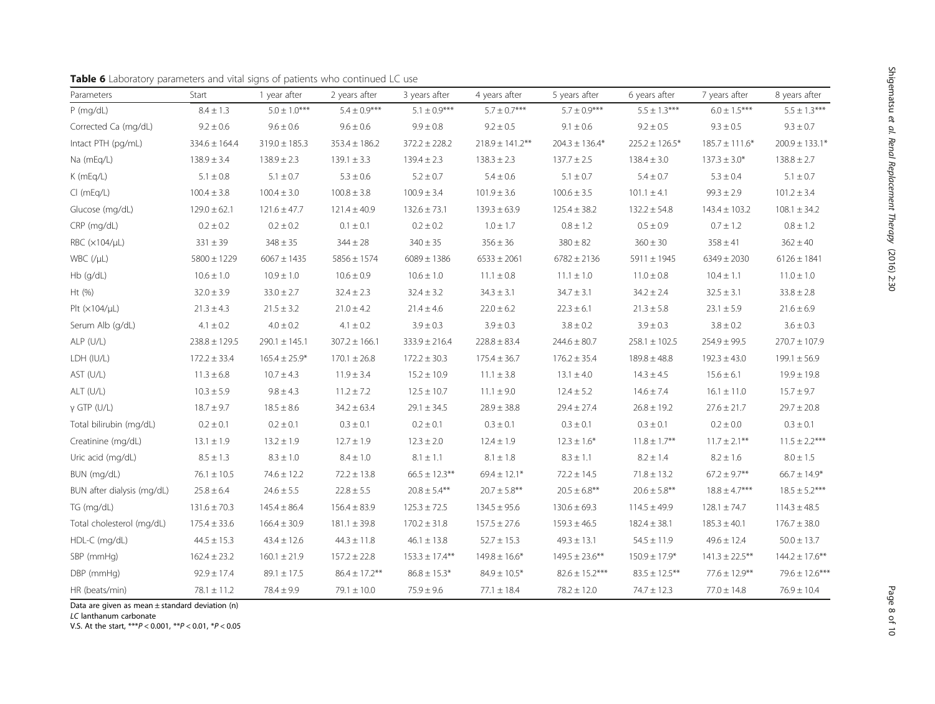|                 | Shigematsu <i>et al. Renal Replacement Therapy</i> (2016) 2:30 |
|-----------------|----------------------------------------------------------------|
| ears after      |                                                                |
| $.5 \pm 1.3***$ |                                                                |
| $.3 \pm 0.7$    |                                                                |
| $.9 \pm 133.1*$ |                                                                |
| $.8 \pm 2.7$    |                                                                |
| .1 $\pm$ 0.7    |                                                                |
| $.2 \pm 3.4$    |                                                                |
| $.1 \pm 34.2$   |                                                                |
| $.8 \pm 1.2$    |                                                                |
| $62 \pm 40$     |                                                                |
| $.6 \pm 1841$   |                                                                |
| $.0 \pm 1.0$    |                                                                |
| $.8 \pm 2.8$    |                                                                |
| $.6 \pm 6.9$    |                                                                |
|                 |                                                                |

<span id="page-7-0"></span>Table 6 Laboratory parameters and vital signs of patients who continued LC use

| Parameters                 | Start             | 1 year after      | 2 years after      | 3 years after      | 4 years after        | 5 years after       | 6 years after      | 7 years after       | 8 years after       |
|----------------------------|-------------------|-------------------|--------------------|--------------------|----------------------|---------------------|--------------------|---------------------|---------------------|
| $P$ (mg/dL)                | $8.4 \pm 1.3$     | $5.0 \pm 1.0***$  | $5.4 \pm 0.9***$   | $5.1 \pm 0.9***$   | $5.7 \pm 0.7***$     | $5.7 \pm 0.9***$    | $5.5 \pm 1.3***$   | $6.0 \pm 1.5***$    | $5.5 \pm 1.3***$    |
| Corrected Ca (mg/dL)       | $9.2 \pm 0.6$     | $9.6 \pm 0.6$     | $9.6 \pm 0.6$      | $9.9 \pm 0.8$      | $9.2 \pm 0.5$        | $9.1 \pm 0.6$       | $9.2 \pm 0.5$      | $9.3 \pm 0.5$       | $9.3 \pm 0.7$       |
| Intact PTH (pg/mL)         | $334.6 \pm 164.4$ | $319.0 \pm 185.3$ | $353.4 \pm 186.2$  | $372.2 \pm 228.2$  | $218.9 \pm 141.2$ ** | $204.3 \pm 136.4*$  | $225.2 \pm 126.5*$ | $185.7 \pm 111.6*$  | $200.9 \pm 133.1*$  |
| Na (mEq/L)                 | $138.9 \pm 3.4$   | $138.9 \pm 2.3$   | $139.1 \pm 3.3$    | $139.4 \pm 2.3$    | $138.3 \pm 2.3$      | $137.7 \pm 2.5$     | $138.4 \pm 3.0$    | $137.3 \pm 3.0*$    | $138.8 \pm 2.7$     |
| K (mEq/L)                  | $5.1 \pm 0.8$     | $5.1 \pm 0.7$     | $5.3 \pm 0.6$      | $5.2 \pm 0.7$      | $5.4 \pm 0.6$        | $5.1 \pm 0.7$       | $5.4 \pm 0.7$      | $5.3 \pm 0.4$       | $5.1 \pm 0.7$       |
| CI (mEq/L)                 | $100.4 \pm 3.8$   | $100.4 \pm 3.0$   | $100.8 \pm 3.8$    | $100.9 \pm 3.4$    | $101.9 \pm 3.6$      | $100.6 \pm 3.5$     | $101.1 \pm 4.1$    | $99.3 \pm 2.9$      | $101.2 \pm 3.4$     |
| Glucose (mg/dL)            | $129.0 \pm 62.1$  | $121.6 \pm 47.7$  | $121.4 \pm 40.9$   | $132.6 \pm 73.1$   | $139.3 \pm 63.9$     | $125.4 \pm 38.2$    | $132.2 \pm 54.8$   | $143.4 \pm 103.2$   | $108.1 \pm 34.2$    |
| CRP (mg/dL)                | $0.2 \pm 0.2$     | $0.2 \pm 0.2$     | $0.1 \pm 0.1$      | $0.2 \pm 0.2$      | $1.0 \pm 1.7$        | $0.8 \pm 1.2$       | $0.5 \pm 0.9$      | $0.7 \pm 1.2$       | $0.8 \pm 1.2$       |
| RBC (x104/µL)              | $331 \pm 39$      | $348 \pm 35$      | $344 \pm 28$       | $340 \pm 35$       | $356 \pm 36$         | $380 \pm 82$        | $360 \pm 30$       | $358 \pm 41$        | $362 \pm 40$        |
| WBC (/µL)                  | $5800 \pm 1229$   | $6067 \pm 1435$   | $5856 \pm 1574$    | $6089 \pm 1386$    | $6533 \pm 2061$      | $6782 \pm 2136$     | $5911 \pm 1945$    | $6349 \pm 2030$     | $6126 \pm 1841$     |
| Hb (g/dL)                  | $10.6 \pm 1.0$    | $10.9 \pm 1.0$    | $10.6 \pm 0.9$     | $10.6 \pm 1.0$     | $11.1 \pm 0.8$       | $11.1 \pm 1.0$      | $11.0 \pm 0.8$     | $10.4 \pm 1.1$      | $11.0 \pm 1.0$      |
| Ht (%)                     | $32.0 \pm 3.9$    | $33.0 \pm 2.7$    | $32.4 \pm 2.3$     | $32.4 \pm 3.2$     | $34.3 \pm 3.1$       | $34.7 \pm 3.1$      | $34.2 \pm 2.4$     | $32.5 \pm 3.1$      | $33.8 \pm 2.8$      |
| Plt $(x104/\mu L)$         | $21.3 \pm 4.3$    | $21.5 \pm 3.2$    | $21.0 \pm 4.2$     | $21.4 \pm 4.6$     | $22.0 \pm 6.2$       | $22.3 \pm 6.1$      | $21.3 \pm 5.8$     | $23.1 \pm 5.9$      | $21.6 \pm 6.9$      |
| Serum Alb (g/dL)           | $4.1 \pm 0.2$     | $4.0 \pm 0.2$     | $4.1 \pm 0.2$      | $3.9 \pm 0.3$      | $3.9 \pm 0.3$        | $3.8 \pm 0.2$       | $3.9 \pm 0.3$      | $3.8 \pm 0.2$       | $3.6 \pm 0.3$       |
| ALP (U/L)                  | $238.8 \pm 129.5$ | $290.1 \pm 145.1$ | $307.2 \pm 166.1$  | $333.9 \pm 216.4$  | $228.8 \pm 83.4$     | $244.6 \pm 80.7$    | $258.1 \pm 102.5$  | $254.9 \pm 99.5$    | $270.7 \pm 107.9$   |
| LDH (IU/L)                 | $172.2 \pm 33.4$  | $165.4 \pm 25.9*$ | $170.1 \pm 26.8$   | $172.2 \pm 30.3$   | $175.4 \pm 36.7$     | $176.2 \pm 35.4$    | $189.8 \pm 48.8$   | $192.3 \pm 43.0$    | $199.1 \pm 56.9$    |
| AST (U/L)                  | $11.3 \pm 6.8$    | $10.7 \pm 4.3$    | $11.9 \pm 3.4$     | $15.2 \pm 10.9$    | $11.1 \pm 3.8$       | $13.1 \pm 4.0$      | $14.3 \pm 4.5$     | $15.6 \pm 6.1$      | $19.9 \pm 19.8$     |
| ALT (U/L)                  | $10.3 \pm 5.9$    | $9.8 \pm 4.3$     | $11.2 \pm 7.2$     | $12.5 \pm 10.7$    | $11.1 \pm 9.0$       | $12.4 \pm 5.2$      | $14.6 \pm 7.4$     | $16.1 \pm 11.0$     | $15.7 \pm 9.7$      |
| $\gamma$ GTP (U/L)         | $18.7 \pm 9.7$    | $18.5 \pm 8.6$    | $34.2 \pm 63.4$    | $29.1 \pm 34.5$    | $28.9 \pm 38.8$      | $29.4 \pm 27.4$     | $26.8 \pm 19.2$    | $27.6 \pm 21.7$     | $29.7 \pm 20.8$     |
| Total bilirubin (mg/dL)    | $0.2 \pm 0.1$     | $0.2 \pm 0.1$     | $0.3 \pm 0.1$      | $0.2 \pm 0.1$      | $0.3 \pm 0.1$        | $0.3 \pm 0.1$       | $0.3 \pm 0.1$      | $0.2 \pm 0.0$       | $0.3 \pm 0.1$       |
| Creatinine (mg/dL)         | $13.1 \pm 1.9$    | $13.2 \pm 1.9$    | $12.7 \pm 1.9$     | $12.3 \pm 2.0$     | $12.4 \pm 1.9$       | $12.3 \pm 1.6*$     | $11.8 \pm 1.7***$  | $11.7 \pm 2.1***$   | $11.5 \pm 2.2***$   |
| Uric acid (mg/dL)          | $8.5 \pm 1.3$     | $8.3 \pm 1.0$     | $8.4 \pm 1.0$      | $8.1 \pm 1.1$      | $8.1 \pm 1.8$        | $8.3 \pm 1.1$       | $8.2 \pm 1.4$      | $8.2 \pm 1.6$       | $8.0 \pm 1.5$       |
| BUN (mg/dL)                | $76.1 \pm 10.5$   | $74.6 \pm 12.2$   | $72.2 \pm 13.8$    | $66.5 \pm 12.3$ ** | $69.4 \pm 12.1*$     | $72.2 \pm 14.5$     | $71.8 \pm 13.2$    | $67.2 \pm 9.7**$    | $66.7 \pm 14.9*$    |
| BUN after dialysis (mg/dL) | $25.8 \pm 6.4$    | $24.6 \pm 5.5$    | $22.8 \pm 5.5$     | $20.8 \pm 5.4***$  | $20.7 \pm 5.8***$    | $20.5 \pm 6.8***$   | $20.6 \pm 5.8***$  | $18.8 \pm 4.7***$   | $18.5 \pm 5.2***$   |
| TG (mg/dL)                 | $131.6 \pm 70.3$  | $145.4 \pm 86.4$  | $156.4 \pm 83.9$   | $125.3 \pm 72.5$   | $134.5 \pm 95.6$     | $130.6 \pm 69.3$    | $114.5 \pm 49.9$   | $128.1 \pm 74.7$    | $114.3 \pm 48.5$    |
| Total cholesterol (mg/dL)  | $175.4 \pm 33.6$  | $166.4 \pm 30.9$  | $181.1 \pm 39.8$   | $170.2 \pm 31.8$   | $157.5 \pm 27.6$     | $159.3 \pm 46.5$    | $182.4 \pm 38.1$   | $185.3 \pm 40.1$    | $176.7 \pm 38.0$    |
| HDL-C (mg/dL)              | $44.5 \pm 15.3$   | $43.4 \pm 12.6$   | $44.3 \pm 11.8$    | $46.1 \pm 13.8$    | $52.7 \pm 15.3$      | $49.3 \pm 13.1$     | $54.5 \pm 11.9$    | $49.6 \pm 12.4$     | $50.0 \pm 13.7$     |
| SBP (mmHg)                 | $162.4 \pm 23.2$  | $160.1 \pm 21.9$  | $157.2 \pm 22.8$   | $153.3 \pm 17.4**$ | $149.8 \pm 16.6*$    | $149.5 \pm 23.6$ ** | $150.9 \pm 17.9*$  | $141.3 \pm 22.5***$ | $144.2 \pm 17.6$ ** |
| DBP (mmHg)                 | $92.9 \pm 17.4$   | $89.1 \pm 17.5$   | $86.4 \pm 17.2$ ** | $86.8 \pm 15.3*$   | $84.9 \pm 10.5*$     | $82.6 \pm 15.2***$  | $83.5 \pm 12.5***$ | $77.6 \pm 12.9***$  | 79.6 ± 12.6***      |
| HR (beats/min)             | $78.1 \pm 11.2$   | $78.4 \pm 9.9$    | $79.1 \pm 10.0$    | $75.9 \pm 9.6$     | $77.1 \pm 18.4$      | $78.2 \pm 12.0$     | $74.7 \pm 12.3$    | $77.0 \pm 14.8$     | $76.9 \pm 10.4$     |

Data are given as mean  $\pm$  standard deviation (n)

V.S. At the start, \*\*\*P < 0.001, \*\*P < 0.01, \*P < 0.05

LC lanthanum carbonate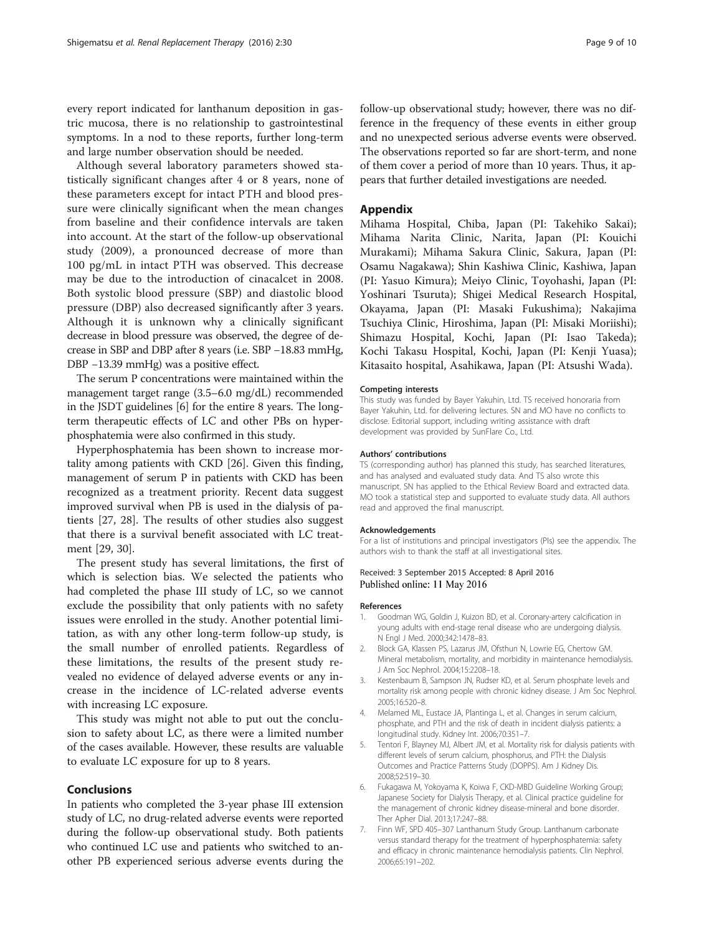<span id="page-8-0"></span>every report indicated for lanthanum deposition in gastric mucosa, there is no relationship to gastrointestinal symptoms. In a nod to these reports, further long-term and large number observation should be needed.

Although several laboratory parameters showed statistically significant changes after 4 or 8 years, none of these parameters except for intact PTH and blood pressure were clinically significant when the mean changes from baseline and their confidence intervals are taken into account. At the start of the follow-up observational study (2009), a pronounced decrease of more than 100 pg/mL in intact PTH was observed. This decrease may be due to the introduction of cinacalcet in 2008. Both systolic blood pressure (SBP) and diastolic blood pressure (DBP) also decreased significantly after 3 years. Although it is unknown why a clinically significant decrease in blood pressure was observed, the degree of decrease in SBP and DBP after 8 years (i.e. SBP −18.83 mmHg, DBP −13.39 mmHg) was a positive effect.

The serum P concentrations were maintained within the management target range (3.5–6.0 mg/dL) recommended in the JSDT guidelines [6] for the entire 8 years. The longterm therapeutic effects of LC and other PBs on hyperphosphatemia were also confirmed in this study.

Hyperphosphatemia has been shown to increase mortality among patients with CKD [\[26](#page-9-0)]. Given this finding, management of serum P in patients with CKD has been recognized as a treatment priority. Recent data suggest improved survival when PB is used in the dialysis of patients [\[27](#page-9-0), [28\]](#page-9-0). The results of other studies also suggest that there is a survival benefit associated with LC treatment [[29, 30\]](#page-9-0).

The present study has several limitations, the first of which is selection bias. We selected the patients who had completed the phase III study of LC, so we cannot exclude the possibility that only patients with no safety issues were enrolled in the study. Another potential limitation, as with any other long-term follow-up study, is the small number of enrolled patients. Regardless of these limitations, the results of the present study revealed no evidence of delayed adverse events or any increase in the incidence of LC-related adverse events with increasing LC exposure.

This study was might not able to put out the conclusion to safety about LC, as there were a limited number of the cases available. However, these results are valuable to evaluate LC exposure for up to 8 years.

#### Conclusions

In patients who completed the 3-year phase III extension study of LC, no drug-related adverse events were reported during the follow-up observational study. Both patients who continued LC use and patients who switched to another PB experienced serious adverse events during the follow-up observational study; however, there was no difference in the frequency of these events in either group and no unexpected serious adverse events were observed. The observations reported so far are short-term, and none of them cover a period of more than 10 years. Thus, it appears that further detailed investigations are needed.

## Appendix

Mihama Hospital, Chiba, Japan (PI: Takehiko Sakai); Mihama Narita Clinic, Narita, Japan (PI: Kouichi Murakami); Mihama Sakura Clinic, Sakura, Japan (PI: Osamu Nagakawa); Shin Kashiwa Clinic, Kashiwa, Japan (PI: Yasuo Kimura); Meiyo Clinic, Toyohashi, Japan (PI: Yoshinari Tsuruta); Shigei Medical Research Hospital, Okayama, Japan (PI: Masaki Fukushima); Nakajima Tsuchiya Clinic, Hiroshima, Japan (PI: Misaki Moriishi); Shimazu Hospital, Kochi, Japan (PI: Isao Takeda); Kochi Takasu Hospital, Kochi, Japan (PI: Kenji Yuasa); Kitasaito hospital, Asahikawa, Japan (PI: Atsushi Wada).

#### Competing interests

This study was funded by Bayer Yakuhin, Ltd. TS received honoraria from Bayer Yakuhin, Ltd. for delivering lectures. SN and MO have no conflicts to disclose. Editorial support, including writing assistance with draft development was provided by SunFlare Co., Ltd.

#### Authors' contributions

TS (corresponding author) has planned this study, has searched literatures, and has analysed and evaluated study data. And TS also wrote this manuscript. SN has applied to the Ethical Review Board and extracted data. MO took a statistical step and supported to evaluate study data. All authors read and approved the final manuscript.

#### Acknowledgements

For a list of institutions and principal investigators (PIs) see the appendix. The authors wish to thank the staff at all investigational sites.

#### Received: 3 September 2015 Accepted: 8 April 2016 Published online: 11 May 2016

#### References

- 1. Goodman WG, Goldin J, Kuizon BD, et al. Coronary-artery calcification in young adults with end-stage renal disease who are undergoing dialysis. N Engl J Med. 2000;342:1478–83.
- 2. Block GA, Klassen PS, Lazarus JM, Ofsthun N, Lowrie EG, Chertow GM. Mineral metabolism, mortality, and morbidity in maintenance hemodialysis. J Am Soc Nephrol. 2004;15:2208–18.
- 3. Kestenbaum B, Sampson JN, Rudser KD, et al. Serum phosphate levels and mortality risk among people with chronic kidney disease. J Am Soc Nephrol. 2005;16:520–8.
- 4. Melamed ML, Eustace JA, Plantinga L, et al. Changes in serum calcium, phosphate, and PTH and the risk of death in incident dialysis patients: a longitudinal study. Kidney Int. 2006;70:351–7.
- 5. Tentori F, Blayney MJ, Albert JM, et al. Mortality risk for dialysis patients with different levels of serum calcium, phosphorus, and PTH: the Dialysis Outcomes and Practice Patterns Study (DOPPS). Am J Kidney Dis. 2008;52:519–30.
- 6. Fukagawa M, Yokoyama K, Koiwa F, CKD-MBD Guideline Working Group; Japanese Society for Dialysis Therapy, et al. Clinical practice guideline for the management of chronic kidney disease-mineral and bone disorder. Ther Apher Dial. 2013;17:247–88.
- 7. Finn WF, SPD 405–307 Lanthanum Study Group. Lanthanum carbonate versus standard therapy for the treatment of hyperphosphatemia: safety and efficacy in chronic maintenance hemodialysis patients. Clin Nephrol. 2006;65:191–202.